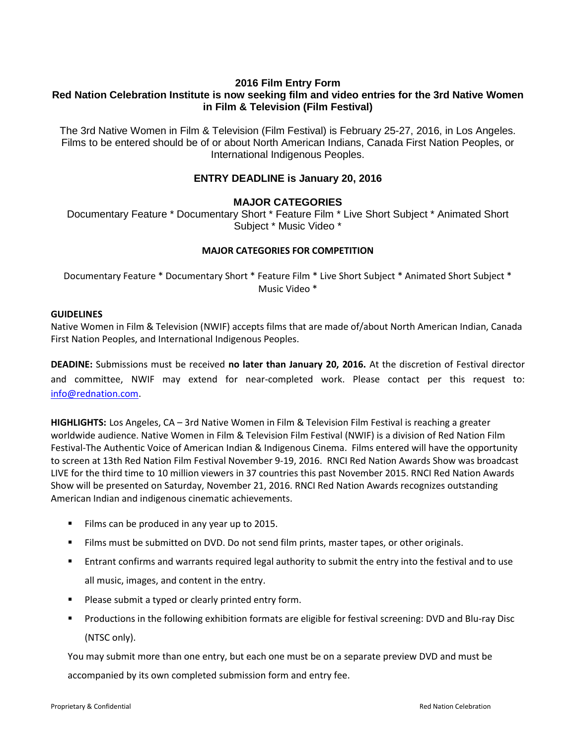# **2016 Film Entry Form Red Nation Celebration Institute is now seeking film and video entries for the 3rd Native Women in Film & Television (Film Festival)**

The 3rd Native Women in Film & Television (Film Festival) is February 25-27, 2016, in Los Angeles. Films to be entered should be of or about North American Indians, Canada First Nation Peoples, or International Indigenous Peoples.

# **ENTRY DEADLINE is January 20, 2016**

## **MAJOR CATEGORIES**

Documentary Feature \* Documentary Short \* Feature Film \* Live Short Subject \* Animated Short Subject \* Music Video \*

## **MAJOR CATEGORIES FOR COMPETITION**

Documentary Feature \* Documentary Short \* Feature Film \* Live Short Subject \* Animated Short Subject \* Music Video \*

### **GUIDELINES**

Native Women in Film & Television (NWIF) accepts films that are made of/about North American Indian, Canada First Nation Peoples, and International Indigenous Peoples.

**DEADINE:** Submissions must be received **no later than January 20, 2016.** At the discretion of Festival director and committee, NWIF may extend for near-completed work. Please contact per this request to: [info@rednation.com.](mailto:info@rednation.com)

**HIGHLIGHTS:** Los Angeles, CA – 3rd Native Women in Film & Television Film Festival is reaching a greater worldwide audience. Native Women in Film & Television Film Festival (NWIF) is a division of Red Nation Film Festival-The Authentic Voice of American Indian & Indigenous Cinema. Films entered will have the opportunity to screen at 13th Red Nation Film Festival November 9-19, 2016. RNCI Red Nation Awards Show was broadcast LIVE for the third time to 10 million viewers in 37 countries this past November 2015. RNCI Red Nation Awards Show will be presented on Saturday, November 21, 2016. RNCI Red Nation Awards recognizes outstanding American Indian and indigenous cinematic achievements.

- Films can be produced in any year up to 2015.
- **Films must be submitted on DVD. Do not send film prints, master tapes, or other originals.**
- **Entrant confirms and warrants required legal authority to submit the entry into the festival and to use** all music, images, and content in the entry.
- **Please submit a typed or clearly printed entry form.**
- Productions in the following exhibition formats are eligible for festival screening: DVD and Blu-ray Disc (NTSC only).

You may submit more than one entry, but each one must be on a separate preview DVD and must be accompanied by its own completed submission form and entry fee.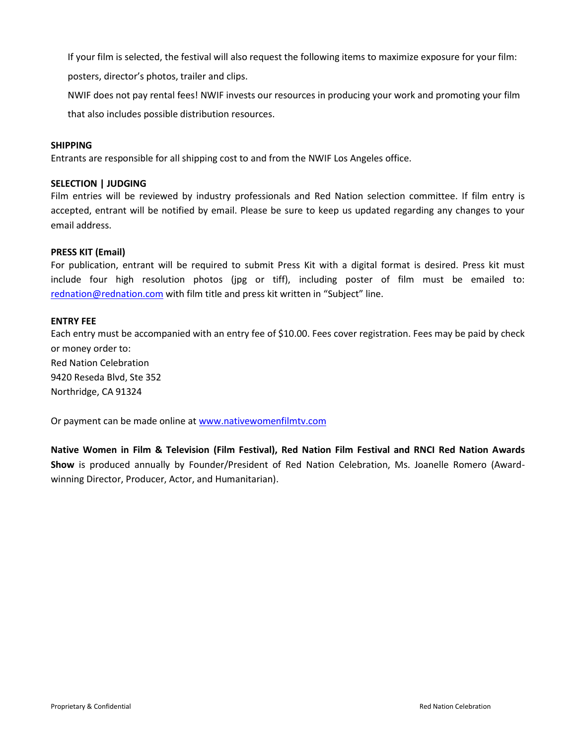If your film is selected, the festival will also request the following items to maximize exposure for your film:

posters, director's photos, trailer and clips.

NWIF does not pay rental fees! NWIF invests our resources in producing your work and promoting your film that also includes possible distribution resources.

### **SHIPPING**

Entrants are responsible for all shipping cost to and from the NWIF Los Angeles office.

### **SELECTION | JUDGING**

Film entries will be reviewed by industry professionals and Red Nation selection committee. If film entry is accepted, entrant will be notified by email. Please be sure to keep us updated regarding any changes to your email address.

### **PRESS KIT (Email)**

For publication, entrant will be required to submit Press Kit with a digital format is desired. Press kit must include four high resolution photos (jpg or tiff), including poster of film must be emailed to: [rednation@rednation.com](mailto:rednation@rednation.com) with film title and press kit written in "Subject" line.

#### **ENTRY FEE**

Each entry must be accompanied with an entry fee of \$10.00. Fees cover registration. Fees may be paid by check or money order to: Red Nation Celebration 9420 Reseda Blvd, Ste 352 Northridge, CA 91324

Or payment can be made online at [www.nativewomenfilmtv.com](http://www.nativewomenfilmtv.com/)

**Native Women in Film & Television (Film Festival), Red Nation Film Festival and RNCI Red Nation Awards Show** is produced annually by Founder/President of Red Nation Celebration, Ms. Joanelle Romero (Awardwinning Director, Producer, Actor, and Humanitarian).